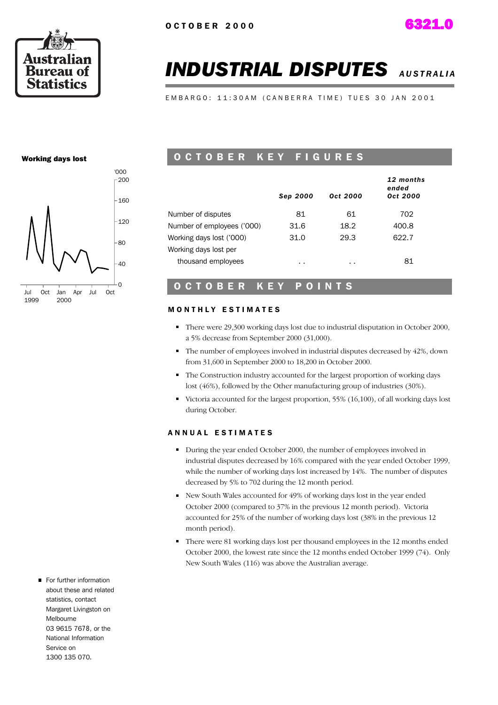

# *INDUSTRIAL DISPUTES A U S T R A L I A*

EMBARGO: 11:30AM (CANBERRA TIME) TUES 30 JAN 2001

#### Working days lost



#### O C T O B E R K E Y F I G U R E S

|                            | Sep 2000 | Oct 2000 | 12 months<br>ended<br>Oct 2000 |
|----------------------------|----------|----------|--------------------------------|
| Number of disputes         | 81       | 61       | 702                            |
| Number of employees ('000) | 31.6     | 18.2     | 400.8                          |
| Working days lost ('000)   | 31.0     | 29.3     | 622.7                          |
| Working days lost per      |          |          |                                |
| thousand employees         | . .      | $\sim$   | 81                             |

#### O C T O B E R K E Y P O I N T S

#### **MONTHLY ESTIMATES**

- There were 29,300 working days lost due to industrial disputation in October 2000, a 5% decrease from September 2000 (31,000).
- The number of employees involved in industrial disputes decreased by 42%, down from 31,600 in September 2000 to 18,200 in October 2000.
- The Construction industry accounted for the largest proportion of working days lost (46%), followed by the Other manufacturing group of industries (30%).
- Victoria accounted for the largest proportion,  $55\%$  (16,100), of all working days lost during October.

#### A N N U A L E S T I M A T E S

- During the year ended October 2000, the number of employees involved in industrial disputes decreased by 16% compared with the year ended October 1999, while the number of working days lost increased by 14%. The number of disputes decreased by 5% to 702 during the 12 month period.
- New South Wales accounted for 49% of working days lost in the year ended October 2000 (compared to 37% in the previous 12 month period). Victoria accounted for 25% of the number of working days lost (38% in the previous 12 month period).
- There were 81 working days lost per thousand employees in the 12 months ended October 2000, the lowest rate since the 12 months ended October 1999 (74). Only New South Wales (116) was above the Australian average.
- For further information about these and related statistics, contact Margaret Livingston on Melbourne 03 9615 7678, or the National Information Service on 1300 135 070.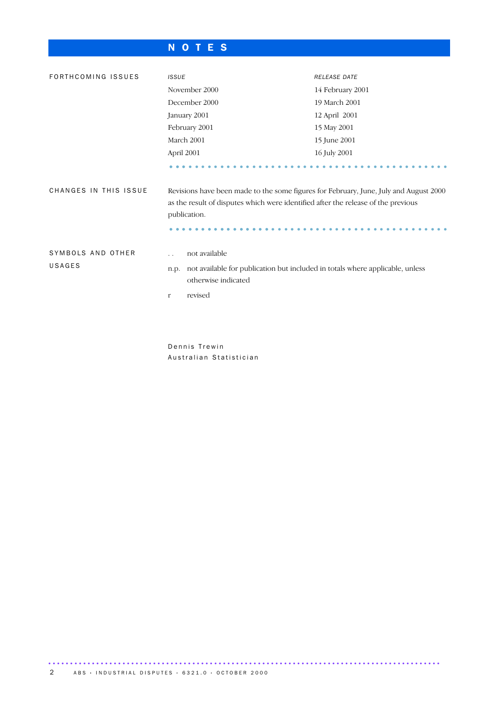### N O T E S

| FORTHCOMING ISSUES    | <b>ISSUE</b>                                                                                                                                                                               | RELEASE DATE     |  |  |
|-----------------------|--------------------------------------------------------------------------------------------------------------------------------------------------------------------------------------------|------------------|--|--|
|                       | November 2000                                                                                                                                                                              | 14 February 2001 |  |  |
|                       | December 2000                                                                                                                                                                              | 19 March 2001    |  |  |
|                       | January 2001                                                                                                                                                                               | 12 April 2001    |  |  |
|                       | February 2001                                                                                                                                                                              | 15 May 2001      |  |  |
|                       | March 2001                                                                                                                                                                                 | 15 June 2001     |  |  |
|                       | April 2001                                                                                                                                                                                 | 16 July 2001     |  |  |
|                       |                                                                                                                                                                                            |                  |  |  |
| CHANGES IN THIS ISSUE | Revisions have been made to the some figures for February, June, July and August 2000<br>as the result of disputes which were identified after the release of the previous<br>publication. |                  |  |  |
| SYMBOLS AND OTHER     | not available<br>$\ddot{\phantom{0}}$                                                                                                                                                      |                  |  |  |
| USAGES                | not available for publication but included in totals where applicable, unless<br>n.p.<br>otherwise indicated                                                                               |                  |  |  |
|                       | revised<br>r                                                                                                                                                                               |                  |  |  |
|                       |                                                                                                                                                                                            |                  |  |  |
|                       |                                                                                                                                                                                            |                  |  |  |
|                       |                                                                                                                                                                                            |                  |  |  |

Dennis Trewin Australian Statistician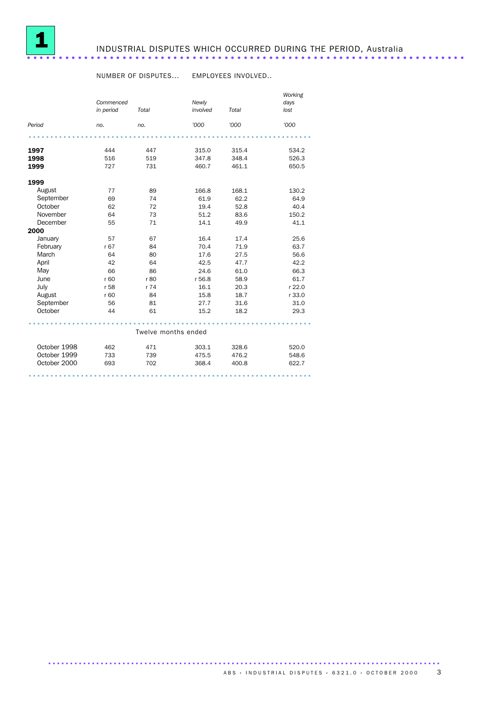

## INDUSTRIAL DISPUTES WHICH OCCURRED DURING THE PERIOD, Australia .....................................................................

#### NUMBER OF DISPUTES... EMPLOYEES INVOLVED..

|              | Commenced |                     | Newly    |       | Working<br>days |
|--------------|-----------|---------------------|----------|-------|-----------------|
|              | in period | Total               | involved | Total | lost            |
| Period       | no.       | no.                 | '000     | '000  | '000            |
|              |           |                     |          |       |                 |
| 1997         | 444       | 447                 | 315.0    | 315.4 | 534.2           |
| 1998         | 516       | 519                 | 347.8    | 348.4 | 526.3           |
| 1999         | 727       | 731                 | 460.7    | 461.1 | 650.5           |
| 1999         |           |                     |          |       |                 |
| August       | 77        | 89                  | 166.8    | 168.1 | 130.2           |
| September    | 69        | 74                  | 61.9     | 62.2  | 64.9            |
| October      | 62        | 72                  | 19.4     | 52.8  | 40.4            |
| November     | 64        | 73                  | 51.2     | 83.6  | 150.2           |
| December     | 55        | 71                  | 14.1     | 49.9  | 41.1            |
| 2000         |           |                     |          |       |                 |
| January      | 57        | 67                  | 16.4     | 17.4  | 25.6            |
| February     | r 67      | 84                  | 70.4     | 71.9  | 63.7            |
| March        | 64        | 80                  | 17.6     | 27.5  | 56.6            |
| April        | 42        | 64                  | 42.5     | 47.7  | 42.2            |
| May          | 66        | 86                  | 24.6     | 61.0  | 66.3            |
| June         | r 60      | r 80                | r 56.8   | 58.9  | 61.7            |
| July         | r 58      | r 74                | 16.1     | 20.3  | r 22.0          |
| August       | r 60      | 84                  | 15.8     | 18.7  | r 33.0          |
| September    | 56        | 81                  | 27.7     | 31.6  | 31.0            |
| October      | 44        | 61                  | 15.2     | 18.2  | 29.3            |
|              |           |                     |          |       |                 |
|              |           | Twelve months ended |          |       |                 |
| October 1998 | 462       | 471                 | 303.1    | 328.6 | 520.0           |
| October 1999 | 733       | 739                 | 475.5    | 476.2 | 548.6           |
| October 2000 | 693       | 702                 | 368.4    | 400.8 | 622.7           |
|              |           |                     |          |       |                 |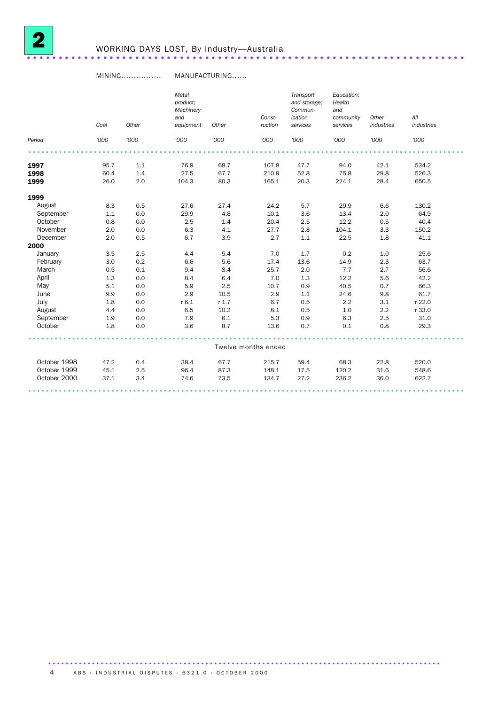

#### MINING................ MANUFACTURING......

|              | Coal | Other | Metal<br>product;<br>Machinery<br>and<br>equipment | Other   | Const-<br>ruction   | Transport<br>and storage;<br>Commun-<br>ication<br>services | Education;<br>Health<br>and<br>community<br>services | Other<br>industries | All<br>industries |
|--------------|------|-------|----------------------------------------------------|---------|---------------------|-------------------------------------------------------------|------------------------------------------------------|---------------------|-------------------|
| Period       | '000 | '000  | '000                                               | '000    | '000                | '000                                                        | '000                                                 | '000                | '000              |
|              |      |       |                                                    |         |                     |                                                             |                                                      |                     |                   |
| 1997         | 95.7 | 1.1   | 76.9                                               | 68.7    | 107.8               | 47.7                                                        | 94.0                                                 | 42.1                | 534.2             |
| 1998         | 60.4 | 1.4   | 27.5                                               | 67.7    | 210.9               | 52.8                                                        | 75.8                                                 | 29.8                | 526.3             |
| 1999         | 26.0 | 2.0   | 104.3                                              | 80.3    | 165.1               | 20.3                                                        | 224.1                                                | 28.4                | 650.5             |
| 1999         |      |       |                                                    |         |                     |                                                             |                                                      |                     |                   |
| August       | 8.3  | 0.5   | 27.6                                               | 27.4    | 24.2                | 5.7                                                         | 29.9                                                 | 6.6                 | 130.2             |
| September    | 1.1  | 0.0   | 29.9                                               | 4.8     | 10.1                | 3.6                                                         | 13.4                                                 | 2.0                 | 64.9              |
| October      | 0.8  | 0.0   | 2.5                                                | 1.4     | 20.4                | 2.5                                                         | 12.2                                                 | 0.5                 | 40.4              |
| November     | 2.0  | 0.0   | 6.3                                                | 4.1     | 27.7                | 2.8                                                         | 104.1                                                | 3.3                 | 150.2             |
| December     | 2.0  | 0.5   | 6.7                                                | 3.9     | 2.7                 | 1.1                                                         | 22.5                                                 | 1.8                 | 41.1              |
| 2000         |      |       |                                                    |         |                     |                                                             |                                                      |                     |                   |
| January      | 3.5  | 2.5   | 4.4                                                | 5.4     | 7.0                 | 1.7                                                         | 0.2                                                  | 1.0                 | 25.6              |
| February     | 3.0  | 0.2   | 6.6                                                | 5.6     | 17.4                | 13.6                                                        | 14.9                                                 | 2.3                 | 63.7              |
| March        | 0.5  | 0.1   | 9.4                                                | 8.4     | 25.7                | 2.0                                                         | 7.7                                                  | 2.7                 | 56.6              |
| April        | 1.3  | 0.0   | 8.4                                                | 6.4     | $7.0$               | 1.3                                                         | 12.2                                                 | 5.6                 | 42.2              |
| May          | 5.1  | 0.0   | 5.9                                                | 2.5     | 10.7                | 0.9                                                         | 40.5                                                 | 0.7                 | 66.3              |
| June         | 9.9  | 0.0   | 2.9                                                | 10.5    | 2.9                 | 1.1                                                         | 24.6                                                 | 9.8                 | 61.7              |
| July         | 1.8  | 0.0   | r6.1                                               | $r$ 1.7 | 6.7                 | 0.5                                                         | 2.2                                                  | 3.1                 | r 22.0            |
| August       | 4.4  | 0.0   | 6.5                                                | 10.2    | 8.1                 | 0.5                                                         | 1.0                                                  | 2.2                 | r 33.0            |
| September    | 1.9  | 0.0   | 7.9                                                | 6.1     | 5.3                 | 0.9                                                         | 6.3                                                  | 2.5                 | 31.0              |
| October      | 1.8  | 0.0   | 3.6                                                | 8.7     | 13.6                | 0.7                                                         | 0.1                                                  | 0.8                 | 29.3              |
|              |      |       |                                                    |         |                     |                                                             |                                                      |                     |                   |
|              |      |       |                                                    |         | Twelve months ended |                                                             |                                                      |                     |                   |
| October 1998 | 47.2 | 0.4   | 38.4                                               | 67.7    | 215.7               | 59.4                                                        | 68.3                                                 | 22.8                | 520.0             |
| October 1999 | 45.1 | 2.5   | 96.4                                               | 87.3    | 148.1               | 17.5                                                        | 120.2                                                | 31.6                | 548.6             |
| October 2000 | 37.1 | 3.4   | 74.6                                               | 73.5    | 134.7               | 27.2                                                        | 236.2                                                | 36.0                | 622.7             |
|              |      |       |                                                    |         |                     |                                                             |                                                      |                     |                   |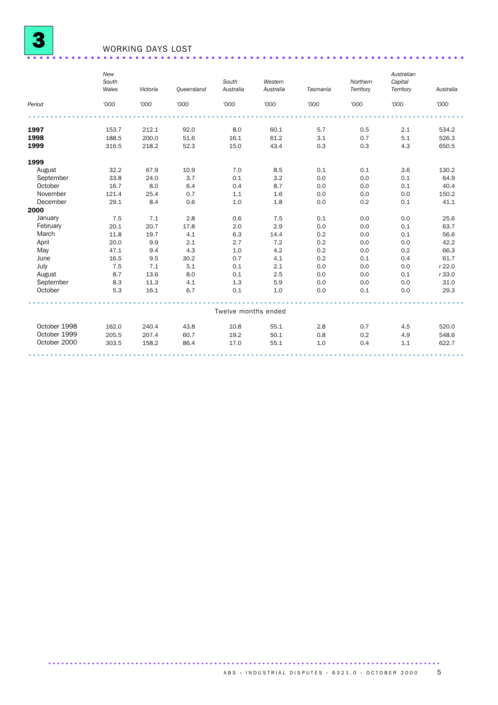

# WORKING DAYS LOST .....................................................................

|              | New<br>South<br>Wales | Victoria | Queensland | South<br>Australia  | Western<br>Australia | Tasmania | Northern<br>Territory | Australian<br>Capital<br>Territory | Australia |
|--------------|-----------------------|----------|------------|---------------------|----------------------|----------|-----------------------|------------------------------------|-----------|
| Period       | '000                  | '000     | '000       | '000                | '000                 | '000     | '000                  | '000                               | '000      |
|              |                       |          |            |                     |                      |          |                       |                                    |           |
| 1997         | 153.7                 | 212.1    | 92.0       | 8.0                 | 60.1                 | 5.7      | 0.5                   | 2.1                                | 534.2     |
| 1998         | 188.5                 | 200.0    | 51.6       | 16.1                | 61.2                 | 3.1      | 0.7                   | 5.1                                | 526.3     |
| 1999         | 316.5                 | 218.2    | 52.3       | 15.0                | 43.4                 | 0.3      | 0.3                   | 4.3                                | 650.5     |
| 1999         |                       |          |            |                     |                      |          |                       |                                    |           |
| August       | 32.2                  | 67.9     | 10.9       | 7.0                 | 8.5                  | 0.1      | 0.1                   | 3.6                                | 130.2     |
| September    | 33.8                  | 24.0     | 3.7        | 0.1                 | 3.2                  | 0.0      | 0.0                   | 0.1                                | 64.9      |
| October      | 16.7                  | 8.0      | 6.4        | 0.4                 | 8.7                  | 0.0      | 0.0                   | 0.1                                | 40.4      |
| November     | 121.4                 | 25.4     | 0.7        | 1.1                 | 1.6                  | 0.0      | 0.0                   | 0.0                                | 150.2     |
| December     | 29.1                  | 8.4      | 0.6        | 1.0                 | 1.8                  | 0.0      | 0.2                   | 0.1                                | 41.1      |
| 2000         |                       |          |            |                     |                      |          |                       |                                    |           |
| January      | 7.5                   | 7.1      | 2.8        | 0.6                 | 7.5                  | 0.1      | 0.0                   | 0.0                                | 25.6      |
| February     | 20.1                  | 20.7     | 17.8       | 2.0                 | 2.9                  | 0.0      | 0.0                   | 0.1                                | 63.7      |
| March        | 11.8                  | 19.7     | 4.1        | 6.3                 | 14.4                 | 0.2      | 0.0                   | 0.1                                | 56.6      |
| April        | 20.0                  | 9.9      | 2.1        | 2.7                 | 7.2                  | 0.2      | 0.0                   | 0.0                                | 42.2      |
| May          | 47.1                  | 9.4      | 4.3        | 1.0                 | 4.2                  | 0.2      | 0.0                   | 0.2                                | 66.3      |
| June         | 16.5                  | 9.5      | 30.2       | 0.7                 | 4.1                  | 0.2      | 0.1                   | 0.4                                | 61.7      |
| July         | 7.5                   | 7.1      | 5.1        | 0.1                 | 2.1                  | 0.0      | 0.0                   | 0.0                                | r 22.0    |
| August       | 8.7                   | 13.6     | 8.0        | 0.1                 | 2.5                  | 0.0      | 0.0                   | 0.1                                | r 33.0    |
| September    | 8.3                   | 11.3     | 4.1        | 1.3                 | 5.9                  | 0.0      | 0.0                   | 0.0                                | 31.0      |
| October      | 5.3                   | 16.1     | 6.7        | 0.1                 | 1.0                  | 0.0      | 0.1                   | 0.0                                | 29.3      |
|              |                       |          |            | Twelve months ended |                      |          |                       |                                    |           |
|              |                       |          |            |                     |                      |          |                       |                                    |           |
| October 1998 | 162.0                 | 240.4    | 43.8       | 10.8                | 55.1                 | 2.8      | 0.7                   | 4.5                                | 520.0     |
| October 1999 | 205.5                 | 207.4    | 60.7       | 19.2                | 50.1                 | 0.8      | 0.2                   | 4.9                                | 548.6     |
| October 2000 | 303.5                 | 158.2    | 86.4       | 17.0                | 55.1                 | 1.0      | 0.4                   | 1.1                                | 622.7     |
|              |                       |          |            |                     |                      |          |                       |                                    |           |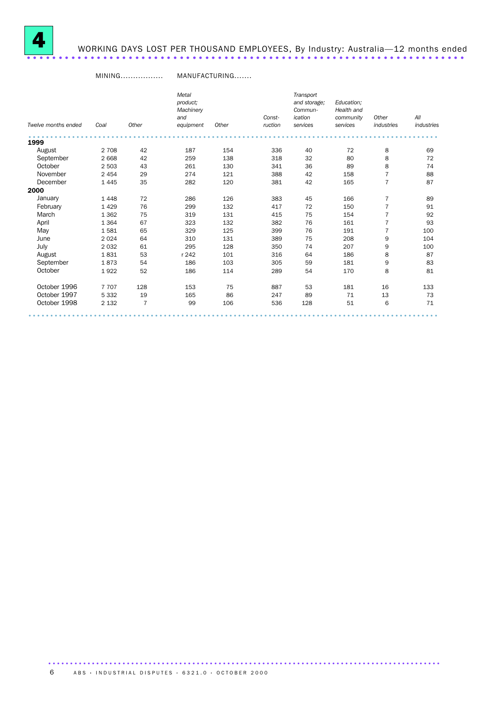

# WORKING DAYS LOST PER THOUSAND EMPLOYEES, By Industry: Australia—12 months ended .....................................................................

#### MINING................. MANUFACTURING.......

|                     |         |                | Metal<br>product:<br>Machinery<br>and |       | Const-  | Transport<br>and storage;<br>Commun-<br>ication | Education;<br>Health and<br>community | Other          | All        |
|---------------------|---------|----------------|---------------------------------------|-------|---------|-------------------------------------------------|---------------------------------------|----------------|------------|
| Twelve months ended | Coal    | Other          | equipment                             | Other | ruction | services                                        | services                              | industries     | industries |
| 1999                |         |                |                                       |       |         |                                                 |                                       |                |            |
| August              | 2 7 0 8 | 42             | 187                                   | 154   | 336     | 40                                              | 72                                    | 8              | 69         |
| September           | 2 6 6 8 | 42             | 259                                   | 138   | 318     | 32                                              | 80                                    | 8              | 72         |
| October             | 2 5 0 3 | 43             | 261                                   | 130   | 341     | 36                                              | 89                                    | 8              | 74         |
| November            | 2 4 5 4 | 29             | 274                                   | 121   | 388     | 42                                              | 158                                   | 7              | 88         |
| December            | 1 4 4 5 | 35             | 282                                   | 120   | 381     | 42                                              | 165                                   | 7              | 87         |
| 2000                |         |                |                                       |       |         |                                                 |                                       |                |            |
| January             | 1448    | 72             | 286                                   | 126   | 383     | 45                                              | 166                                   | 7              | 89         |
| February            | 1429    | 76             | 299                                   | 132   | 417     | 72                                              | 150                                   | $\overline{7}$ | 91         |
| March               | 1 3 6 2 | 75             | 319                                   | 131   | 415     | 75                                              | 154                                   |                | 92         |
| April               | 1 3 6 4 | 67             | 323                                   | 132   | 382     | 76                                              | 161                                   | $\overline{7}$ | 93         |
| May                 | 1581    | 65             | 329                                   | 125   | 399     | 76                                              | 191                                   | 7              | 100        |
| June                | 2 0 2 4 | 64             | 310                                   | 131   | 389     | 75                                              | 208                                   | 9              | 104        |
| July                | 2032    | 61             | 295                                   | 128   | 350     | 74                                              | 207                                   | 9              | 100        |
| August              | 1831    | 53             | r 242                                 | 101   | 316     | 64                                              | 186                                   | 8              | 87         |
| September           | 1873    | 54             | 186                                   | 103   | 305     | 59                                              | 181                                   | 9              | 83         |
| October             | 1922    | 52             | 186                                   | 114   | 289     | 54                                              | 170                                   | 8              | 81         |
| October 1996        | 7707    | 128            | 153                                   | 75    | 887     | 53                                              | 181                                   | 16             | 133        |
| October 1997        | 5 3 3 2 | 19             | 165                                   | 86    | 247     | 89                                              | 71                                    | 13             | 73         |
| October 1998        | 2 1 3 2 | $\overline{7}$ | 99                                    | 106   | 536     | 128                                             | 51                                    | 6              | 71         |
|                     |         |                |                                       |       |         |                                                 |                                       |                |            |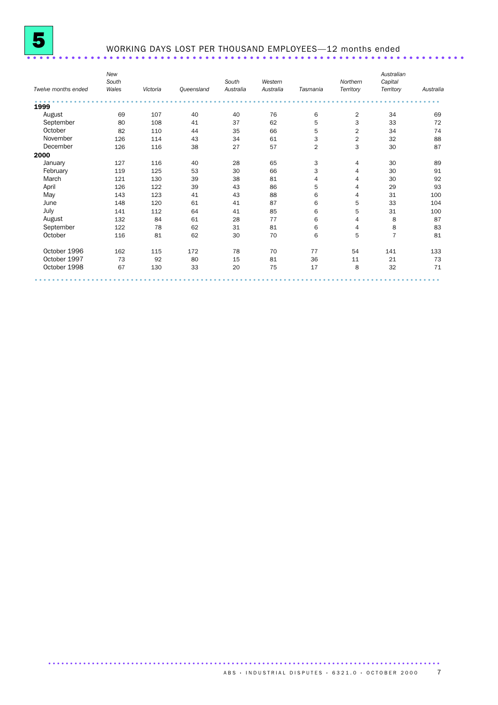

## WORKING DAYS LOST PER THOUSAND EMPLOYEES—12 months ended .....................................................................

| Twelve months ended | New<br>South<br>Wales | Victoria | Queensland | South<br>Australia | Western<br>Australia | Tasmania       | Northern<br>Territory | Australian<br>Capital<br>Territory | Australia |
|---------------------|-----------------------|----------|------------|--------------------|----------------------|----------------|-----------------------|------------------------------------|-----------|
| 1999                |                       |          |            |                    |                      |                |                       |                                    |           |
| August              | 69                    | 107      | 40         | 40                 | 76                   | 6              | $\sqrt{2}$            | 34                                 | 69        |
| September           | 80                    | 108      | 41         | 37                 | 62                   | 5              | 3                     | 33                                 | 72        |
| October             | 82                    | 110      | 44         | 35                 | 66                   | 5              | $\overline{2}$        | 34                                 | 74        |
| November            | 126                   | 114      | 43         | 34                 | 61                   | 3              | $\overline{2}$        | 32                                 | 88        |
| December            | 126                   | 116      | 38         | 27                 | 57                   | $\overline{2}$ | 3                     | 30                                 | 87        |
| 2000                |                       |          |            |                    |                      |                |                       |                                    |           |
| January             | 127                   | 116      | 40         | 28                 | 65                   | 3              | $\overline{4}$        | 30                                 | 89        |
| February            | 119                   | 125      | 53         | 30                 | 66                   | 3              | 4                     | 30                                 | 91        |
| March               | 121                   | 130      | 39         | 38                 | 81                   | 4              | $\overline{4}$        | 30                                 | 92        |
| April               | 126                   | 122      | 39         | 43                 | 86                   | 5              | 4                     | 29                                 | 93        |
| May                 | 143                   | 123      | 41         | 43                 | 88                   | 6              | 4                     | 31                                 | 100       |
| June                | 148                   | 120      | 61         | 41                 | 87                   | 6              | 5                     | 33                                 | 104       |
| July                | 141                   | 112      | 64         | 41                 | 85                   | 6              | 5                     | 31                                 | 100       |
| August              | 132                   | 84       | 61         | 28                 | 77                   | 6              | $\overline{4}$        | 8                                  | 87        |
| September           | 122                   | 78       | 62         | 31                 | 81                   | 6              | 4                     | 8                                  | 83        |
| October             | 116                   | 81       | 62         | 30                 | 70                   | 6              | 5                     | $\overline{7}$                     | 81        |
| October 1996        | 162                   | 115      | 172        | 78                 | 70                   | 77             | 54                    | 141                                | 133       |
| October 1997        | 73                    | 92       | 80         | 15                 | 81                   | 36             | 11                    | 21                                 | 73        |
| October 1998        | 67                    | 130      | 33         | 20                 | 75                   | 17             | 8                     | 32                                 | 71        |
|                     |                       |          |            |                    |                      |                |                       |                                    |           |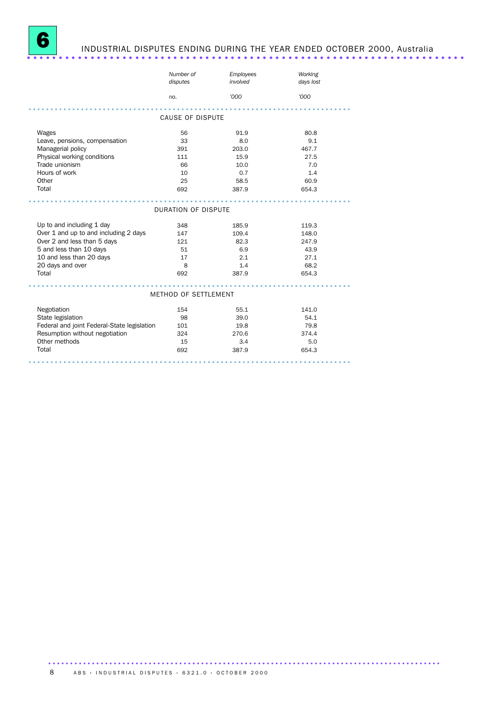

# INDUSTRIAL DISPUTES ENDING DURING THE YEAR ENDED OCTOBER 2000, Australia .....................................................................

|                                             | Number of<br>disputes      | Employees<br>involved | Working<br>days lost |
|---------------------------------------------|----------------------------|-----------------------|----------------------|
|                                             | no.                        | '000                  | '000                 |
|                                             |                            |                       |                      |
|                                             | <b>CAUSE OF DISPUTE</b>    |                       |                      |
| Wages                                       | 56                         | 91.9                  | 80.8                 |
| Leave, pensions, compensation               | 33                         | 8.0                   | 9.1                  |
| Managerial policy                           | 391                        | 203.0                 | 467.7                |
| Physical working conditions                 | 111                        | 15.9                  | 27.5                 |
| Trade unionism                              | 66                         | 10.0                  | 7.0                  |
| Hours of work                               | 10                         | 0.7                   | 1.4                  |
| Other                                       | 25                         | 58.5                  | 60.9                 |
| Total                                       | 692                        | 387.9                 | 654.3                |
|                                             |                            |                       |                      |
|                                             | <b>DURATION OF DISPUTE</b> |                       |                      |
| Up to and including 1 day                   | 348                        | 185.9                 | 119.3                |
| Over 1 and up to and including 2 days       | 147                        | 109.4                 | 148.0                |
| Over 2 and less than 5 days                 | 121                        | 82.3                  | 247.9                |
| 5 and less than 10 days                     | 51                         | 6.9                   | 43.9                 |
| 10 and less than 20 days                    | 17                         | 2.1                   | 27.1                 |
| 20 days and over                            | 8                          | 1.4                   | 68.2                 |
| Total                                       | 692                        | 387.9                 | 654.3                |
|                                             |                            |                       |                      |
|                                             | METHOD OF SETTLEMENT       |                       |                      |
| Negotiation                                 | 154                        | 55.1                  | 141.0                |
| State legislation                           | 98                         | 39.0                  | 54.1                 |
| Federal and joint Federal-State legislation | 101                        | 19.8                  | 79.8                 |
| Resumption without negotiation              | 324                        | 270.6                 | 374.4                |
| Other methods                               | 15                         | 3.4                   | 5.0                  |
| Total                                       | 692                        | 387.9                 | 654.3                |
|                                             |                            |                       |                      |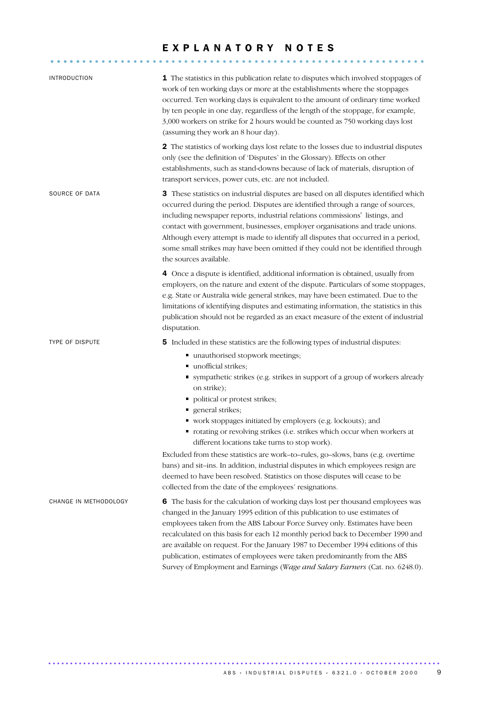#### EXPLANATORY NOTES

........................................................... .....

| <b>INTRODUCTION</b>    | 1 The statistics in this publication relate to disputes which involved stoppages of<br>work of ten working days or more at the establishments where the stoppages<br>occurred. Ten working days is equivalent to the amount of ordinary time worked<br>by ten people in one day, regardless of the length of the stoppage, for example,<br>3,000 workers on strike for 2 hours would be counted as 750 working days lost<br>(assuming they work an 8 hour day).                                                                                                                   |
|------------------------|-----------------------------------------------------------------------------------------------------------------------------------------------------------------------------------------------------------------------------------------------------------------------------------------------------------------------------------------------------------------------------------------------------------------------------------------------------------------------------------------------------------------------------------------------------------------------------------|
|                        | 2 The statistics of working days lost relate to the losses due to industrial disputes<br>only (see the definition of 'Disputes' in the Glossary). Effects on other<br>establishments, such as stand-downs because of lack of materials, disruption of<br>transport services, power cuts, etc. are not included.                                                                                                                                                                                                                                                                   |
| SOURCE OF DATA         | 3 These statistics on industrial disputes are based on all disputes identified which<br>occurred during the period. Disputes are identified through a range of sources,<br>including newspaper reports, industrial relations commissions' listings, and<br>contact with government, businesses, employer organisations and trade unions.<br>Although every attempt is made to identify all disputes that occurred in a period,<br>some small strikes may have been omitted if they could not be identified through<br>the sources available.                                      |
|                        | 4 Once a dispute is identified, additional information is obtained, usually from<br>employers, on the nature and extent of the dispute. Particulars of some stoppages,<br>e.g. State or Australia wide general strikes, may have been estimated. Due to the<br>limitations of identifying disputes and estimating information, the statistics in this<br>publication should not be regarded as an exact measure of the extent of industrial<br>disputation.                                                                                                                       |
| <b>TYPE OF DISPUTE</b> | 5 Included in these statistics are the following types of industrial disputes:<br>■ unauthorised stopwork meetings;<br>unofficial strikes;<br>" sympathetic strikes (e.g. strikes in support of a group of workers already<br>on strike);<br>• political or protest strikes;<br>general strikes;<br>Ξ.                                                                                                                                                                                                                                                                            |
|                        | • work stoppages initiated by employers (e.g. lockouts); and<br>• rotating or revolving strikes (i.e. strikes which occur when workers at<br>different locations take turns to stop work).<br>Excluded from these statistics are work-to-rules, go-slows, bans (e.g. overtime<br>bans) and sit-ins. In addition, industrial disputes in which employees resign are<br>deemed to have been resolved. Statistics on those disputes will cease to be<br>collected from the date of the employees' resignations.                                                                      |
| CHANGE IN METHODOLOGY  | 6 The basis for the calculation of working days lost per thousand employees was<br>changed in the January 1995 edition of this publication to use estimates of<br>employees taken from the ABS Labour Force Survey only. Estimates have been<br>recalculated on this basis for each 12 monthly period back to December 1990 and<br>are available on request. For the January 1987 to December 1994 editions of this<br>publication, estimates of employees were taken predominantly from the ABS<br>Survey of Employment and Earnings (Wage and Salary Earners (Cat. no. 6248.0). |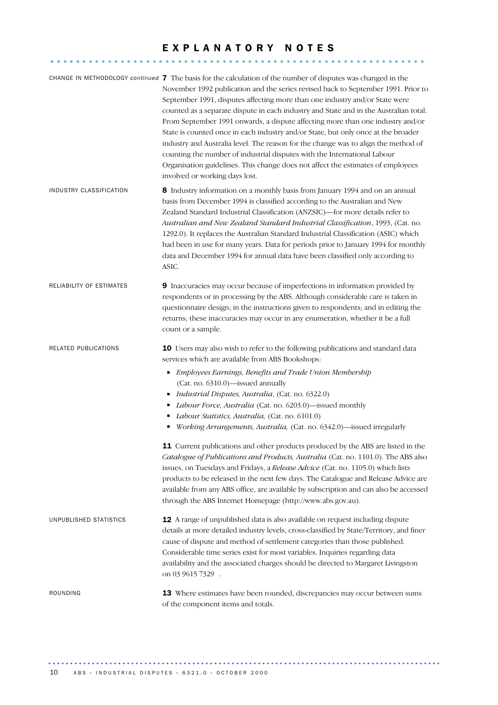#### E X P L A N A T O R Y N O T E S

........................................................... .....

|                          | CHANGE IN METHODOLOGY continued 7 The basis for the calculation of the number of disputes was changed in the<br>November 1992 publication and the series revised back to September 1991. Prior to<br>September 1991, disputes affecting more than one industry and/or State were<br>counted as a separate dispute in each industry and State and in the Australian total.<br>From September 1991 onwards, a dispute affecting more than one industry and/or<br>State is counted once in each industry and/or State, but only once at the broader<br>industry and Australia level. The reason for the change was to align the method of<br>counting the number of industrial disputes with the International Labour<br>Organisation guidelines. This change does not affect the estimates of employees<br>involved or working days lost. |
|--------------------------|-----------------------------------------------------------------------------------------------------------------------------------------------------------------------------------------------------------------------------------------------------------------------------------------------------------------------------------------------------------------------------------------------------------------------------------------------------------------------------------------------------------------------------------------------------------------------------------------------------------------------------------------------------------------------------------------------------------------------------------------------------------------------------------------------------------------------------------------|
| INDUSTRY CLASSIFICATION  | 8 Industry information on a monthly basis from January 1994 and on an annual<br>basis from December 1994 is classified according to the Australian and New<br>Zealand Standard Industrial Classification (ANZSIC)-for more details refer to<br>Australian and New Zealand Standard Industrial Classification, 1993, (Cat. no.<br>1292.0). It replaces the Australian Standard Industrial Classification (ASIC) which<br>had been in use for many years. Data for periods prior to January 1994 for monthly<br>data and December 1994 for annual data have been classified only according to<br>ASIC.                                                                                                                                                                                                                                    |
| RELIABILITY OF ESTIMATES | 9 Inaccuracies may occur because of imperfections in information provided by<br>respondents or in processing by the ABS. Although considerable care is taken in<br>questionnaire design; in the instructions given to respondents; and in editing the<br>returns; these inaccuracies may occur in any enumeration, whether it be a full<br>count or a sample.                                                                                                                                                                                                                                                                                                                                                                                                                                                                           |
| RELATED PUBLICATIONS     | <b>10</b> Users may also wish to refer to the following publications and standard data<br>services which are available from ABS Bookshops:<br>Employees Earnings, Benefits and Trade Union Membership<br>Ξ<br>(Cat. no. 6310.0)-issued annually<br>Industrial Disputes, Australia, (Cat. no. 6322.0)<br>п<br>Labour Force, Australia (Cat. no. 6203.0)-issued monthly<br>Labour Statistics, Australia, (Cat. no. 6101.0)<br>Working Arrangements, Australia, (Cat. no. 6342.0)-issued irregularly<br>11 Current publications and other products produced by the ABS are listed in the<br>Catalogue of Publications and Products, Australia (Cat. no. 1101.0). The ABS also                                                                                                                                                              |
|                          | issues, on Tuesdays and Fridays, a Release Advice (Cat. no. 1105.0) which lists<br>products to be released in the next few days. The Catalogue and Release Advice are<br>available from any ABS office, are available by subscription and can also be accessed<br>through the ABS Internet Homepage (http://www.abs.gov.au).                                                                                                                                                                                                                                                                                                                                                                                                                                                                                                            |
| UNPUBLISHED STATISTICS   | 12 A range of unpublished data is also available on request including dispute<br>details at more detailed industry levels, cross-classified by State/Territory, and finer<br>cause of dispute and method of settlement categories than those published.<br>Considerable time series exist for most variables. Inquiries regarding data<br>availability and the associated charges should be directed to Margaret Livingston<br>on 03 9615 7329 .                                                                                                                                                                                                                                                                                                                                                                                        |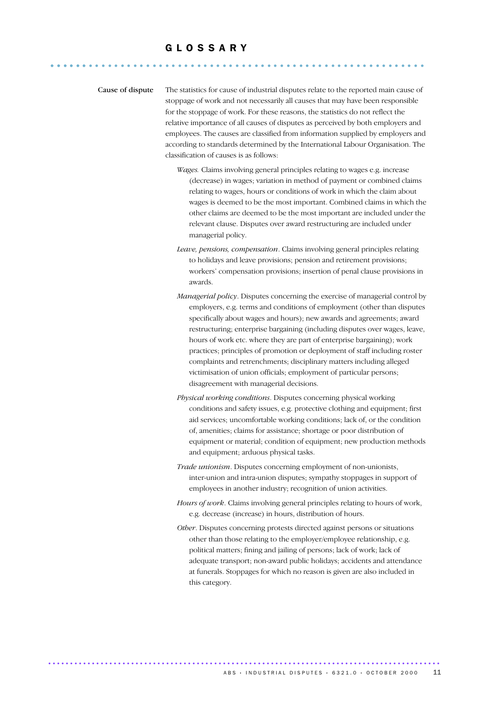### G L O S S A R Y ........................................................... ......

Cause of dispute The statistics for cause of industrial disputes relate to the reported main cause of stoppage of work and not necessarily all causes that may have been responsible for the stoppage of work. For these reasons, the statistics do not reflect the relative importance of all causes of disputes as perceived by both employers and employees. The causes are classified from information supplied by employers and according to standards determined by the International Labour Organisation. The classification of causes is as follows:

- *Wages.* Claims involving general principles relating to wages e.g. increase (decrease) in wages; variation in method of payment or combined claims relating to wages, hours or conditions of work in which the claim about wages is deemed to be the most important. Combined claims in which the other claims are deemed to be the most important are included under the relevant clause. Disputes over award restructuring are included under managerial policy.
- *Leave, pensions, compensation*. Claims involving general principles relating to holidays and leave provisions; pension and retirement provisions; workers' compensation provisions; insertion of penal clause provisions in awards.
- *Managerial policy*. Disputes concerning the exercise of managerial control by employers, e.g. terms and conditions of employment (other than disputes specifically about wages and hours); new awards and agreements; award restructuring; enterprise bargaining (including disputes over wages, leave, hours of work etc. where they are part of enterprise bargaining); work practices; principles of promotion or deployment of staff including roster complaints and retrenchments; disciplinary matters including alleged victimisation of union officials; employment of particular persons; disagreement with managerial decisions.
- *Physical working conditions*. Disputes concerning physical working conditions and safety issues, e.g. protective clothing and equipment; first aid services; uncomfortable working conditions; lack of, or the condition of, amenities; claims for assistance; shortage or poor distribution of equipment or material; condition of equipment; new production methods and equipment; arduous physical tasks.
- *Trade unionism*. Disputes concerning employment of non-unionists, inter-union and intra-union disputes; sympathy stoppages in support of employees in another industry; recognition of union activities.
- *Hours of work*. Claims involving general principles relating to hours of work, e.g. decrease (increase) in hours, distribution of hours.
- *Other*. Disputes concerning protests directed against persons or situations other than those relating to the employer/employee relationship, e.g. political matters; fining and jailing of persons; lack of work; lack of adequate transport; non-award public holidays; accidents and attendance at funerals. Stoppages for which no reason is given are also included in this category.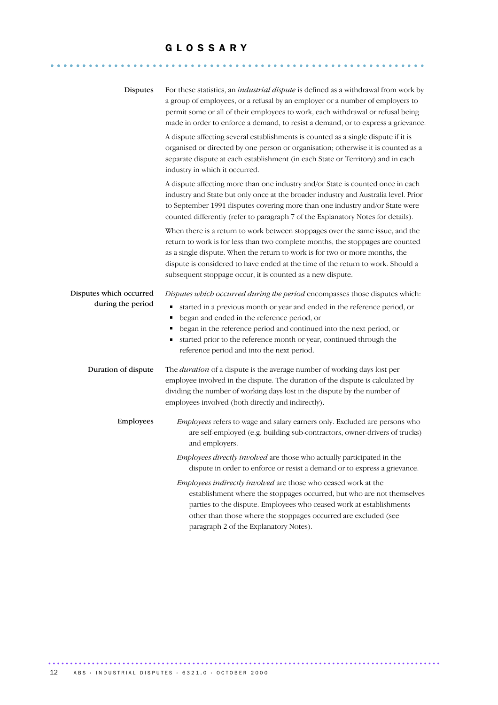#### G L O S S A R Y

........................................................... ......

| Disputes                                     | For these statistics, an <i>industrial dispute</i> is defined as a withdrawal from work by<br>a group of employees, or a refusal by an employer or a number of employers to<br>permit some or all of their employees to work, each withdrawal or refusal being<br>made in order to enforce a demand, to resist a demand, or to express a grievance.                                                                      |
|----------------------------------------------|--------------------------------------------------------------------------------------------------------------------------------------------------------------------------------------------------------------------------------------------------------------------------------------------------------------------------------------------------------------------------------------------------------------------------|
|                                              | A dispute affecting several establishments is counted as a single dispute if it is<br>organised or directed by one person or organisation; otherwise it is counted as a<br>separate dispute at each establishment (in each State or Territory) and in each<br>industry in which it occurred.                                                                                                                             |
|                                              | A dispute affecting more than one industry and/or State is counted once in each<br>industry and State but only once at the broader industry and Australia level. Prior<br>to September 1991 disputes covering more than one industry and/or State were<br>counted differently (refer to paragraph 7 of the Explanatory Notes for details).                                                                               |
|                                              | When there is a return to work between stoppages over the same issue, and the<br>return to work is for less than two complete months, the stoppages are counted<br>as a single dispute. When the return to work is for two or more months, the<br>dispute is considered to have ended at the time of the return to work. Should a<br>subsequent stoppage occur, it is counted as a new dispute.                          |
| Disputes which occurred<br>during the period | Disputes which occurred during the period encompasses those disputes which:<br>started in a previous month or year and ended in the reference period, or<br>Е<br>began and ended in the reference period, or<br>٠<br>began in the reference period and continued into the next period, or<br>п<br>started prior to the reference month or year, continued through the<br>Е<br>reference period and into the next period. |
| Duration of dispute                          | The <i>duration</i> of a dispute is the average number of working days lost per<br>employee involved in the dispute. The duration of the dispute is calculated by<br>dividing the number of working days lost in the dispute by the number of<br>employees involved (both directly and indirectly).                                                                                                                      |
| Employees                                    | Employees refers to wage and salary earners only. Excluded are persons who<br>are self-employed (e.g. building sub-contractors, owner-drivers of trucks)<br>and employers.                                                                                                                                                                                                                                               |
|                                              | Employees directly involved are those who actually participated in the<br>dispute in order to enforce or resist a demand or to express a grievance.                                                                                                                                                                                                                                                                      |
|                                              | Employees indirectly involved are those who ceased work at the<br>establishment where the stoppages occurred, but who are not themselves<br>parties to the dispute. Employees who ceased work at establishments<br>other than those where the stoppages occurred are excluded (see<br>paragraph 2 of the Explanatory Notes).                                                                                             |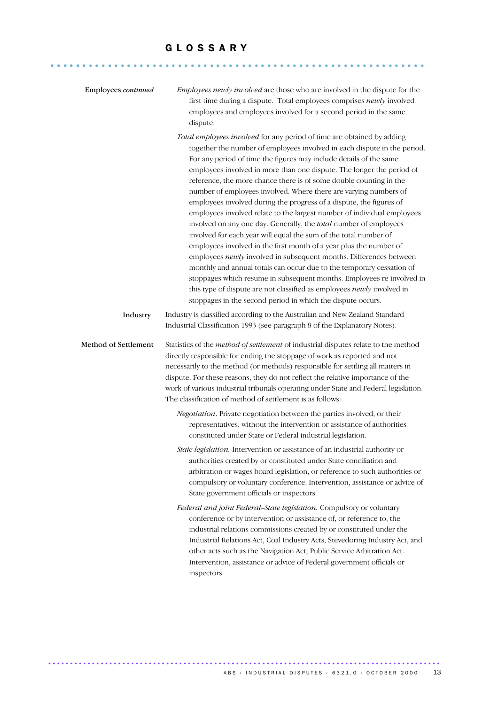#### G L O S S A R Y

........................................................... ......

| Employees continued  | Employees newly involved are those who are involved in the dispute for the<br>first time during a dispute. Total employees comprises newly involved<br>employees and employees involved for a second period in the same<br>dispute.                                                                                                                                                                                                                                                                                                                                                                                                                                                                                                                                                                                                                                                                                                                                                                                                                                                                                                                                           |
|----------------------|-------------------------------------------------------------------------------------------------------------------------------------------------------------------------------------------------------------------------------------------------------------------------------------------------------------------------------------------------------------------------------------------------------------------------------------------------------------------------------------------------------------------------------------------------------------------------------------------------------------------------------------------------------------------------------------------------------------------------------------------------------------------------------------------------------------------------------------------------------------------------------------------------------------------------------------------------------------------------------------------------------------------------------------------------------------------------------------------------------------------------------------------------------------------------------|
|                      | Total employees involved for any period of time are obtained by adding<br>together the number of employees involved in each dispute in the period.<br>For any period of time the figures may include details of the same<br>employees involved in more than one dispute. The longer the period of<br>reference, the more chance there is of some double counting in the<br>number of employees involved. Where there are varying numbers of<br>employees involved during the progress of a dispute, the figures of<br>employees involved relate to the largest number of individual employees<br>involved on any one day. Generally, the total number of employees<br>involved for each year will equal the sum of the total number of<br>employees involved in the first month of a year plus the number of<br>employees newly involved in subsequent months. Differences between<br>monthly and annual totals can occur due to the temporary cessation of<br>stoppages which resume in subsequent months. Employees re-involved in<br>this type of dispute are not classified as employees newly involved in<br>stoppages in the second period in which the dispute occurs. |
| Industry             | Industry is classified according to the Australian and New Zealand Standard<br>Industrial Classification 1993 (see paragraph 8 of the Explanatory Notes).                                                                                                                                                                                                                                                                                                                                                                                                                                                                                                                                                                                                                                                                                                                                                                                                                                                                                                                                                                                                                     |
| Method of Settlement | Statistics of the method of settlement of industrial disputes relate to the method<br>directly responsible for ending the stoppage of work as reported and not<br>necessarily to the method (or methods) responsible for settling all matters in<br>dispute. For these reasons, they do not reflect the relative importance of the<br>work of various industrial tribunals operating under State and Federal legislation.<br>The classification of method of settlement is as follows:                                                                                                                                                                                                                                                                                                                                                                                                                                                                                                                                                                                                                                                                                        |
|                      | Negotiation. Private negotiation between the parties involved, or their<br>representatives, without the intervention or assistance of authorities<br>constituted under State or Federal industrial legislation.                                                                                                                                                                                                                                                                                                                                                                                                                                                                                                                                                                                                                                                                                                                                                                                                                                                                                                                                                               |
|                      | State legislation. Intervention or assistance of an industrial authority or<br>authorities created by or constituted under State conciliation and<br>arbitration or wages board legislation, or reference to such authorities or<br>compulsory or voluntary conference. Intervention, assistance or advice of<br>State government officials or inspectors.                                                                                                                                                                                                                                                                                                                                                                                                                                                                                                                                                                                                                                                                                                                                                                                                                    |
|                      | Federal and joint Federal-State legislation. Compulsory or voluntary<br>conference or by intervention or assistance of, or reference to, the<br>industrial relations commissions created by or constituted under the<br>Industrial Relations Act, Coal Industry Acts, Stevedoring Industry Act, and<br>other acts such as the Navigation Act; Public Service Arbitration Act.<br>Intervention, assistance or advice of Federal government officials or<br>inspectors.                                                                                                                                                                                                                                                                                                                                                                                                                                                                                                                                                                                                                                                                                                         |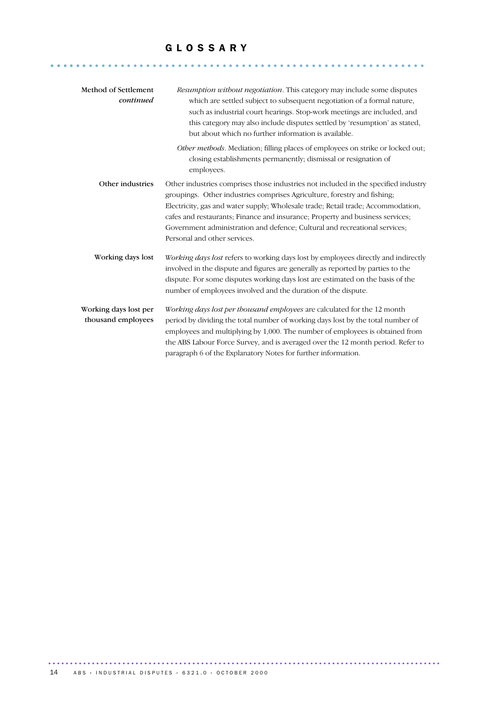#### G L O S S A R Y

........................................................... ......

| Method of Settlement<br>continued           | <i>Resumption without negotiation.</i> This category may include some disputes<br>which are settled subject to subsequent negotiation of a formal nature,<br>such as industrial court hearings. Stop-work meetings are included, and<br>this category may also include disputes settled by 'resumption' as stated,<br>but about which no further information is available.                                                                        |
|---------------------------------------------|---------------------------------------------------------------------------------------------------------------------------------------------------------------------------------------------------------------------------------------------------------------------------------------------------------------------------------------------------------------------------------------------------------------------------------------------------|
|                                             | Other methods. Mediation; filling places of employees on strike or locked out;<br>closing establishments permanently; dismissal or resignation of<br>employees.                                                                                                                                                                                                                                                                                   |
| Other industries                            | Other industries comprises those industries not included in the specified industry<br>groupings. Other industries comprises Agriculture, forestry and fishing.<br>Electricity, gas and water supply; Wholesale trade; Retail trade; Accommodation,<br>cafes and restaurants; Finance and insurance; Property and business services;<br>Government administration and defence; Cultural and recreational services;<br>Personal and other services. |
| Working days lost                           | Working days lost refers to working days lost by employees directly and indirectly<br>involved in the dispute and figures are generally as reported by parties to the<br>dispute. For some disputes working days lost are estimated on the basis of the<br>number of employees involved and the duration of the dispute.                                                                                                                          |
| Working days lost per<br>thousand employees | Working days lost per thousand employees are calculated for the 12 month<br>period by dividing the total number of working days lost by the total number of<br>employees and multiplying by 1,000. The number of employees is obtained from<br>the ABS Labour Force Survey, and is averaged over the 12 month period. Refer to<br>paragraph 6 of the Explanatory Notes for further information.                                                   |